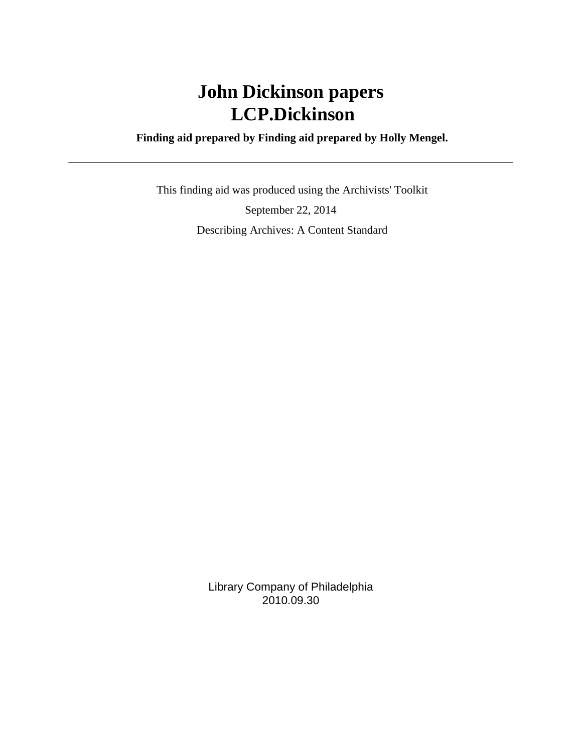# **John Dickinson papers LCP.Dickinson**

### **Finding aid prepared by Finding aid prepared by Holly Mengel.**

 This finding aid was produced using the Archivists' Toolkit September 22, 2014 Describing Archives: A Content Standard

> Library Company of Philadelphia 2010.09.30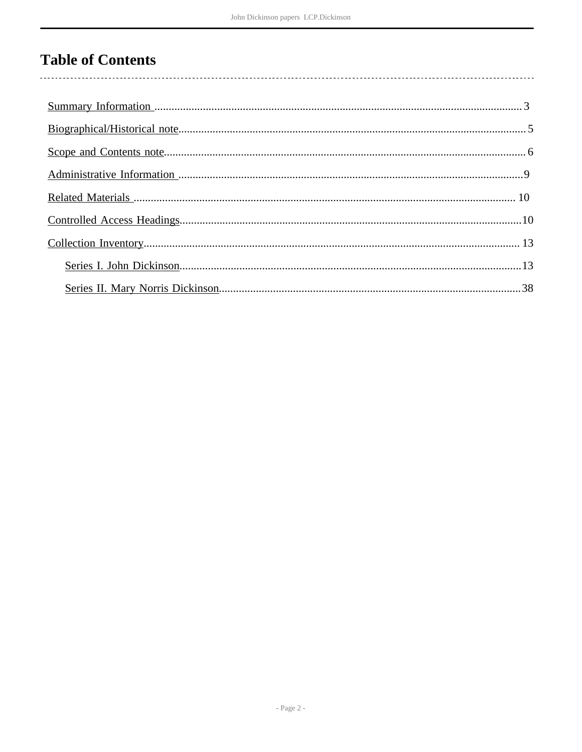# **Table of Contents**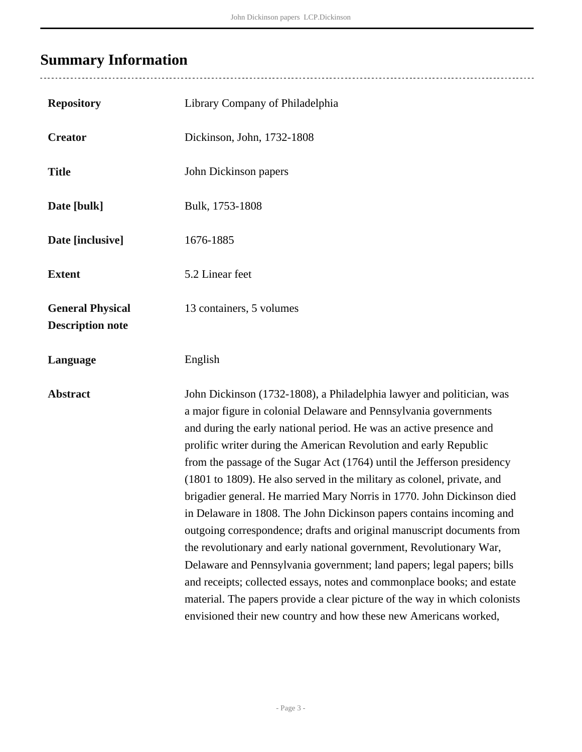# <span id="page-2-0"></span>**Summary Information**

| <b>Repository</b>                                  | Library Company of Philadelphia                                                                                                                                                                                                                                                                                                                                                                                                                                                                                                                                                                                                                                                                                                                                                                                                                                                                                                                                                                                                                       |
|----------------------------------------------------|-------------------------------------------------------------------------------------------------------------------------------------------------------------------------------------------------------------------------------------------------------------------------------------------------------------------------------------------------------------------------------------------------------------------------------------------------------------------------------------------------------------------------------------------------------------------------------------------------------------------------------------------------------------------------------------------------------------------------------------------------------------------------------------------------------------------------------------------------------------------------------------------------------------------------------------------------------------------------------------------------------------------------------------------------------|
| <b>Creator</b>                                     | Dickinson, John, 1732-1808                                                                                                                                                                                                                                                                                                                                                                                                                                                                                                                                                                                                                                                                                                                                                                                                                                                                                                                                                                                                                            |
| <b>Title</b>                                       | John Dickinson papers                                                                                                                                                                                                                                                                                                                                                                                                                                                                                                                                                                                                                                                                                                                                                                                                                                                                                                                                                                                                                                 |
| Date [bulk]                                        | Bulk, 1753-1808                                                                                                                                                                                                                                                                                                                                                                                                                                                                                                                                                                                                                                                                                                                                                                                                                                                                                                                                                                                                                                       |
| Date [inclusive]                                   | 1676-1885                                                                                                                                                                                                                                                                                                                                                                                                                                                                                                                                                                                                                                                                                                                                                                                                                                                                                                                                                                                                                                             |
| <b>Extent</b>                                      | 5.2 Linear feet                                                                                                                                                                                                                                                                                                                                                                                                                                                                                                                                                                                                                                                                                                                                                                                                                                                                                                                                                                                                                                       |
| <b>General Physical</b><br><b>Description note</b> | 13 containers, 5 volumes                                                                                                                                                                                                                                                                                                                                                                                                                                                                                                                                                                                                                                                                                                                                                                                                                                                                                                                                                                                                                              |
| Language                                           | English                                                                                                                                                                                                                                                                                                                                                                                                                                                                                                                                                                                                                                                                                                                                                                                                                                                                                                                                                                                                                                               |
| <b>Abstract</b>                                    | John Dickinson (1732-1808), a Philadelphia lawyer and politician, was<br>a major figure in colonial Delaware and Pennsylvania governments<br>and during the early national period. He was an active presence and<br>prolific writer during the American Revolution and early Republic<br>from the passage of the Sugar Act (1764) until the Jefferson presidency<br>(1801 to 1809). He also served in the military as colonel, private, and<br>brigadier general. He married Mary Norris in 1770. John Dickinson died<br>in Delaware in 1808. The John Dickinson papers contains incoming and<br>outgoing correspondence; drafts and original manuscript documents from<br>the revolutionary and early national government, Revolutionary War,<br>Delaware and Pennsylvania government; land papers; legal papers; bills<br>and receipts; collected essays, notes and commonplace books; and estate<br>material. The papers provide a clear picture of the way in which colonists<br>envisioned their new country and how these new Americans worked, |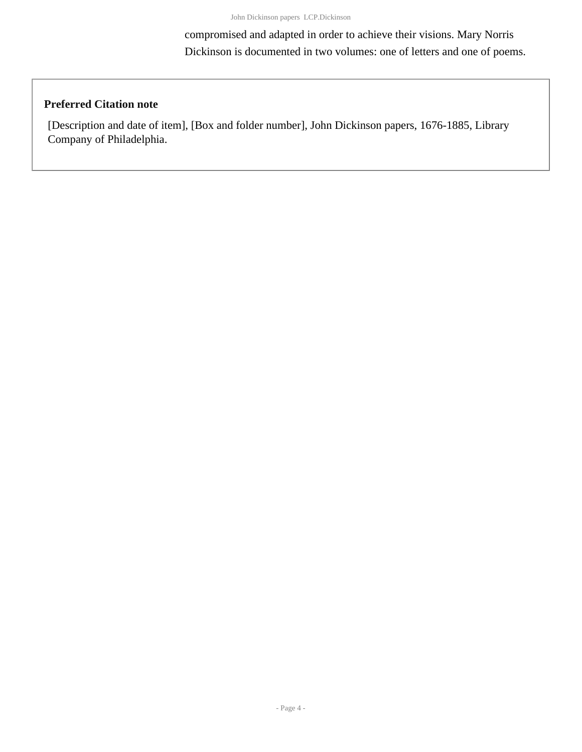compromised and adapted in order to achieve their visions. Mary Norris Dickinson is documented in two volumes: one of letters and one of poems.

#### **Preferred Citation note**

[Description and date of item], [Box and folder number], John Dickinson papers, 1676-1885, Library Company of Philadelphia.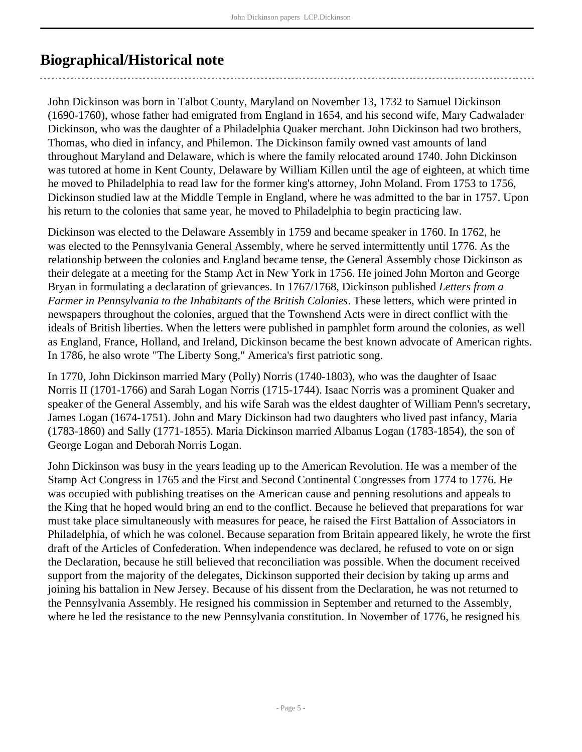### <span id="page-4-0"></span>**Biographical/Historical note**

John Dickinson was born in Talbot County, Maryland on November 13, 1732 to Samuel Dickinson (1690-1760), whose father had emigrated from England in 1654, and his second wife, Mary Cadwalader Dickinson, who was the daughter of a Philadelphia Quaker merchant. John Dickinson had two brothers, Thomas, who died in infancy, and Philemon. The Dickinson family owned vast amounts of land throughout Maryland and Delaware, which is where the family relocated around 1740. John Dickinson was tutored at home in Kent County, Delaware by William Killen until the age of eighteen, at which time he moved to Philadelphia to read law for the former king's attorney, John Moland. From 1753 to 1756, Dickinson studied law at the Middle Temple in England, where he was admitted to the bar in 1757. Upon his return to the colonies that same year, he moved to Philadelphia to begin practicing law.

Dickinson was elected to the Delaware Assembly in 1759 and became speaker in 1760. In 1762, he was elected to the Pennsylvania General Assembly, where he served intermittently until 1776. As the relationship between the colonies and England became tense, the General Assembly chose Dickinson as their delegate at a meeting for the Stamp Act in New York in 1756. He joined John Morton and George Bryan in formulating a declaration of grievances. In 1767/1768, Dickinson published *Letters from a Farmer in Pennsylvania to the Inhabitants of the British Colonies*. These letters, which were printed in newspapers throughout the colonies, argued that the Townshend Acts were in direct conflict with the ideals of British liberties. When the letters were published in pamphlet form around the colonies, as well as England, France, Holland, and Ireland, Dickinson became the best known advocate of American rights. In 1786, he also wrote "The Liberty Song," America's first patriotic song.

In 1770, John Dickinson married Mary (Polly) Norris (1740-1803), who was the daughter of Isaac Norris II (1701-1766) and Sarah Logan Norris (1715-1744). Isaac Norris was a prominent Quaker and speaker of the General Assembly, and his wife Sarah was the eldest daughter of William Penn's secretary, James Logan (1674-1751). John and Mary Dickinson had two daughters who lived past infancy, Maria (1783-1860) and Sally (1771-1855). Maria Dickinson married Albanus Logan (1783-1854), the son of George Logan and Deborah Norris Logan.

John Dickinson was busy in the years leading up to the American Revolution. He was a member of the Stamp Act Congress in 1765 and the First and Second Continental Congresses from 1774 to 1776. He was occupied with publishing treatises on the American cause and penning resolutions and appeals to the King that he hoped would bring an end to the conflict. Because he believed that preparations for war must take place simultaneously with measures for peace, he raised the First Battalion of Associators in Philadelphia, of which he was colonel. Because separation from Britain appeared likely, he wrote the first draft of the Articles of Confederation. When independence was declared, he refused to vote on or sign the Declaration, because he still believed that reconciliation was possible. When the document received support from the majority of the delegates, Dickinson supported their decision by taking up arms and joining his battalion in New Jersey. Because of his dissent from the Declaration, he was not returned to the Pennsylvania Assembly. He resigned his commission in September and returned to the Assembly, where he led the resistance to the new Pennsylvania constitution. In November of 1776, he resigned his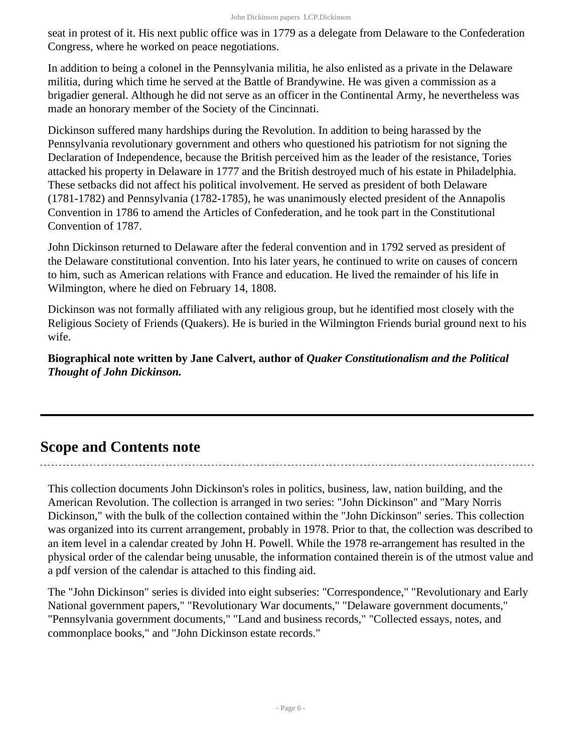seat in protest of it. His next public office was in 1779 as a delegate from Delaware to the Confederation Congress, where he worked on peace negotiations.

In addition to being a colonel in the Pennsylvania militia, he also enlisted as a private in the Delaware militia, during which time he served at the Battle of Brandywine. He was given a commission as a brigadier general. Although he did not serve as an officer in the Continental Army, he nevertheless was made an honorary member of the Society of the Cincinnati.

Dickinson suffered many hardships during the Revolution. In addition to being harassed by the Pennsylvania revolutionary government and others who questioned his patriotism for not signing the Declaration of Independence, because the British perceived him as the leader of the resistance, Tories attacked his property in Delaware in 1777 and the British destroyed much of his estate in Philadelphia. These setbacks did not affect his political involvement. He served as president of both Delaware (1781-1782) and Pennsylvania (1782-1785), he was unanimously elected president of the Annapolis Convention in 1786 to amend the Articles of Confederation, and he took part in the Constitutional Convention of 1787.

John Dickinson returned to Delaware after the federal convention and in 1792 served as president of the Delaware constitutional convention. Into his later years, he continued to write on causes of concern to him, such as American relations with France and education. He lived the remainder of his life in Wilmington, where he died on February 14, 1808.

Dickinson was not formally affiliated with any religious group, but he identified most closely with the Religious Society of Friends (Quakers). He is buried in the Wilmington Friends burial ground next to his wife.

**Biographical note written by Jane Calvert, author of** *Quaker Constitutionalism and the Political Thought of John Dickinson.*

### <span id="page-5-0"></span>**Scope and Contents note**

This collection documents John Dickinson's roles in politics, business, law, nation building, and the American Revolution. The collection is arranged in two series: "John Dickinson" and "Mary Norris Dickinson," with the bulk of the collection contained within the "John Dickinson" series. This collection was organized into its current arrangement, probably in 1978. Prior to that, the collection was described to an item level in a calendar created by John H. Powell. While the 1978 re-arrangement has resulted in the physical order of the calendar being unusable, the information contained therein is of the utmost value and a pdf version of the calendar is attached to this finding aid.

The "John Dickinson" series is divided into eight subseries: "Correspondence," "Revolutionary and Early National government papers," "Revolutionary War documents," "Delaware government documents," "Pennsylvania government documents," "Land and business records," "Collected essays, notes, and commonplace books," and "John Dickinson estate records."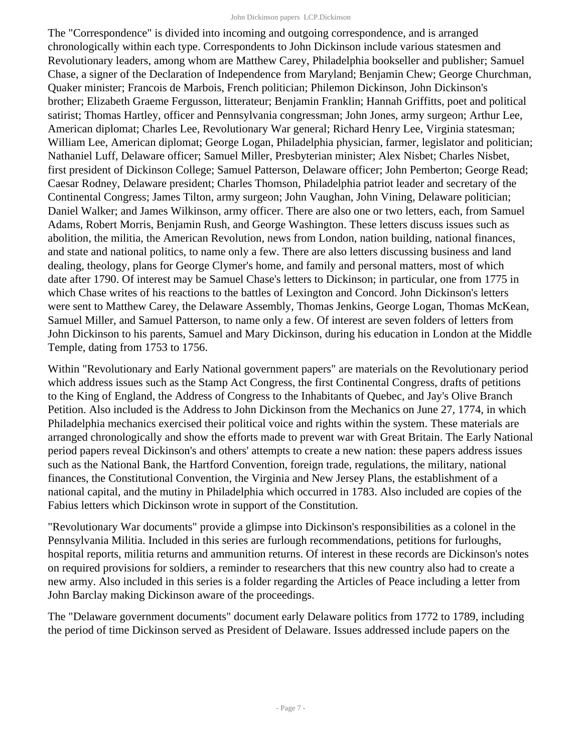#### John Dickinson papers LCP.Dickinson

The "Correspondence" is divided into incoming and outgoing correspondence, and is arranged chronologically within each type. Correspondents to John Dickinson include various statesmen and Revolutionary leaders, among whom are Matthew Carey, Philadelphia bookseller and publisher; Samuel Chase, a signer of the Declaration of Independence from Maryland; Benjamin Chew; George Churchman, Quaker minister; Francois de Marbois, French politician; Philemon Dickinson, John Dickinson's brother; Elizabeth Graeme Fergusson, litterateur; Benjamin Franklin; Hannah Griffitts, poet and political satirist; Thomas Hartley, officer and Pennsylvania congressman; John Jones, army surgeon; Arthur Lee, American diplomat; Charles Lee, Revolutionary War general; Richard Henry Lee, Virginia statesman; William Lee, American diplomat; George Logan, Philadelphia physician, farmer, legislator and politician; Nathaniel Luff, Delaware officer; Samuel Miller, Presbyterian minister; Alex Nisbet; Charles Nisbet, first president of Dickinson College; Samuel Patterson, Delaware officer; John Pemberton; George Read; Caesar Rodney, Delaware president; Charles Thomson, Philadelphia patriot leader and secretary of the Continental Congress; James Tilton, army surgeon; John Vaughan, John Vining, Delaware politician; Daniel Walker; and James Wilkinson, army officer. There are also one or two letters, each, from Samuel Adams, Robert Morris, Benjamin Rush, and George Washington. These letters discuss issues such as abolition, the militia, the American Revolution, news from London, nation building, national finances, and state and national politics, to name only a few. There are also letters discussing business and land dealing, theology, plans for George Clymer's home, and family and personal matters, most of which date after 1790. Of interest may be Samuel Chase's letters to Dickinson; in particular, one from 1775 in which Chase writes of his reactions to the battles of Lexington and Concord. John Dickinson's letters were sent to Matthew Carey, the Delaware Assembly, Thomas Jenkins, George Logan, Thomas McKean, Samuel Miller, and Samuel Patterson, to name only a few. Of interest are seven folders of letters from John Dickinson to his parents, Samuel and Mary Dickinson, during his education in London at the Middle Temple, dating from 1753 to 1756.

Within "Revolutionary and Early National government papers" are materials on the Revolutionary period which address issues such as the Stamp Act Congress, the first Continental Congress, drafts of petitions to the King of England, the Address of Congress to the Inhabitants of Quebec, and Jay's Olive Branch Petition. Also included is the Address to John Dickinson from the Mechanics on June 27, 1774, in which Philadelphia mechanics exercised their political voice and rights within the system. These materials are arranged chronologically and show the efforts made to prevent war with Great Britain. The Early National period papers reveal Dickinson's and others' attempts to create a new nation: these papers address issues such as the National Bank, the Hartford Convention, foreign trade, regulations, the military, national finances, the Constitutional Convention, the Virginia and New Jersey Plans, the establishment of a national capital, and the mutiny in Philadelphia which occurred in 1783. Also included are copies of the Fabius letters which Dickinson wrote in support of the Constitution.

"Revolutionary War documents" provide a glimpse into Dickinson's responsibilities as a colonel in the Pennsylvania Militia. Included in this series are furlough recommendations, petitions for furloughs, hospital reports, militia returns and ammunition returns. Of interest in these records are Dickinson's notes on required provisions for soldiers, a reminder to researchers that this new country also had to create a new army. Also included in this series is a folder regarding the Articles of Peace including a letter from John Barclay making Dickinson aware of the proceedings.

The "Delaware government documents" document early Delaware politics from 1772 to 1789, including the period of time Dickinson served as President of Delaware. Issues addressed include papers on the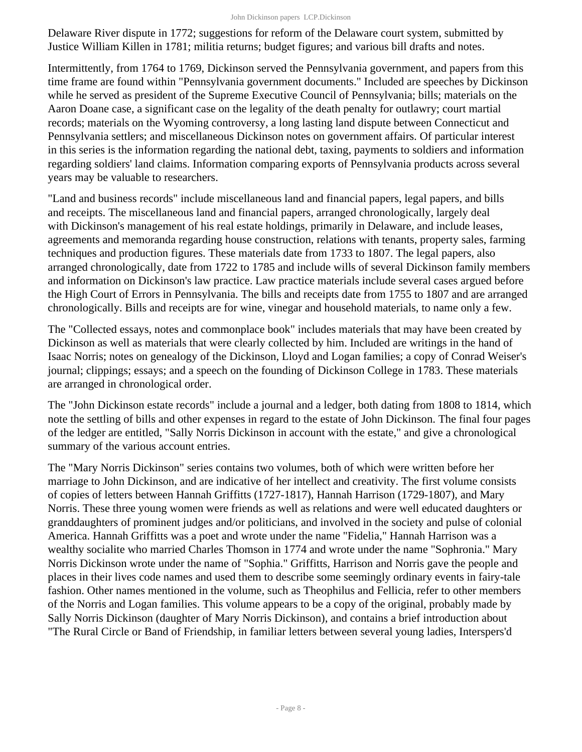Delaware River dispute in 1772; suggestions for reform of the Delaware court system, submitted by Justice William Killen in 1781; militia returns; budget figures; and various bill drafts and notes.

Intermittently, from 1764 to 1769, Dickinson served the Pennsylvania government, and papers from this time frame are found within "Pennsylvania government documents." Included are speeches by Dickinson while he served as president of the Supreme Executive Council of Pennsylvania; bills; materials on the Aaron Doane case, a significant case on the legality of the death penalty for outlawry; court martial records; materials on the Wyoming controversy, a long lasting land dispute between Connecticut and Pennsylvania settlers; and miscellaneous Dickinson notes on government affairs. Of particular interest in this series is the information regarding the national debt, taxing, payments to soldiers and information regarding soldiers' land claims. Information comparing exports of Pennsylvania products across several years may be valuable to researchers.

"Land and business records" include miscellaneous land and financial papers, legal papers, and bills and receipts. The miscellaneous land and financial papers, arranged chronologically, largely deal with Dickinson's management of his real estate holdings, primarily in Delaware, and include leases, agreements and memoranda regarding house construction, relations with tenants, property sales, farming techniques and production figures. These materials date from 1733 to 1807. The legal papers, also arranged chronologically, date from 1722 to 1785 and include wills of several Dickinson family members and information on Dickinson's law practice. Law practice materials include several cases argued before the High Court of Errors in Pennsylvania. The bills and receipts date from 1755 to 1807 and are arranged chronologically. Bills and receipts are for wine, vinegar and household materials, to name only a few.

The "Collected essays, notes and commonplace book" includes materials that may have been created by Dickinson as well as materials that were clearly collected by him. Included are writings in the hand of Isaac Norris; notes on genealogy of the Dickinson, Lloyd and Logan families; a copy of Conrad Weiser's journal; clippings; essays; and a speech on the founding of Dickinson College in 1783. These materials are arranged in chronological order.

The "John Dickinson estate records" include a journal and a ledger, both dating from 1808 to 1814, which note the settling of bills and other expenses in regard to the estate of John Dickinson. The final four pages of the ledger are entitled, "Sally Norris Dickinson in account with the estate," and give a chronological summary of the various account entries.

The "Mary Norris Dickinson" series contains two volumes, both of which were written before her marriage to John Dickinson, and are indicative of her intellect and creativity. The first volume consists of copies of letters between Hannah Griffitts (1727-1817), Hannah Harrison (1729-1807), and Mary Norris. These three young women were friends as well as relations and were well educated daughters or granddaughters of prominent judges and/or politicians, and involved in the society and pulse of colonial America. Hannah Griffitts was a poet and wrote under the name "Fidelia," Hannah Harrison was a wealthy socialite who married Charles Thomson in 1774 and wrote under the name "Sophronia." Mary Norris Dickinson wrote under the name of "Sophia." Griffitts, Harrison and Norris gave the people and places in their lives code names and used them to describe some seemingly ordinary events in fairy-tale fashion. Other names mentioned in the volume, such as Theophilus and Fellicia, refer to other members of the Norris and Logan families. This volume appears to be a copy of the original, probably made by Sally Norris Dickinson (daughter of Mary Norris Dickinson), and contains a brief introduction about "The Rural Circle or Band of Friendship, in familiar letters between several young ladies, Interspers'd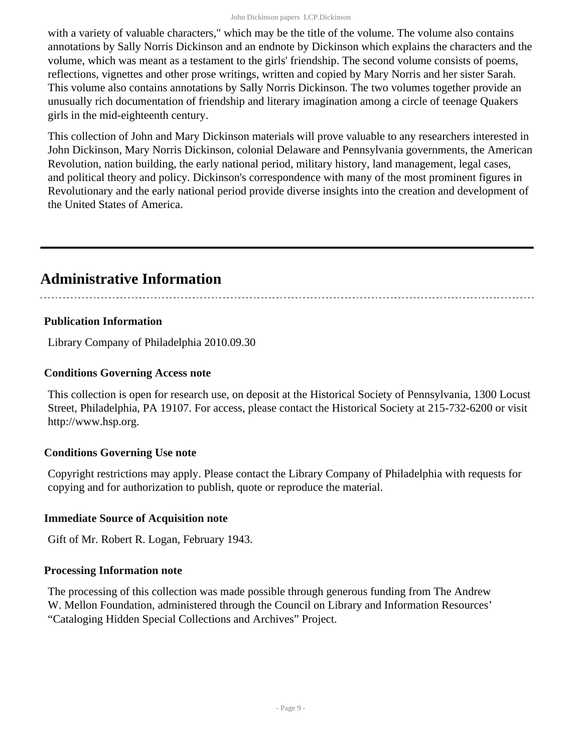#### John Dickinson papers LCP.Dickinson

with a variety of valuable characters," which may be the title of the volume. The volume also contains annotations by Sally Norris Dickinson and an endnote by Dickinson which explains the characters and the volume, which was meant as a testament to the girls' friendship. The second volume consists of poems, reflections, vignettes and other prose writings, written and copied by Mary Norris and her sister Sarah. This volume also contains annotations by Sally Norris Dickinson. The two volumes together provide an unusually rich documentation of friendship and literary imagination among a circle of teenage Quakers girls in the mid-eighteenth century.

This collection of John and Mary Dickinson materials will prove valuable to any researchers interested in John Dickinson, Mary Norris Dickinson, colonial Delaware and Pennsylvania governments, the American Revolution, nation building, the early national period, military history, land management, legal cases, and political theory and policy. Dickinson's correspondence with many of the most prominent figures in Revolutionary and the early national period provide diverse insights into the creation and development of the United States of America.

### <span id="page-8-0"></span>**Administrative Information**

#### **Publication Information**

Library Company of Philadelphia 2010.09.30

#### **Conditions Governing Access note**

This collection is open for research use, on deposit at the Historical Society of Pennsylvania, 1300 Locust Street, Philadelphia, PA 19107. For access, please contact the Historical Society at 215-732-6200 or visit http://www.hsp.org.

#### **Conditions Governing Use note**

Copyright restrictions may apply. Please contact the Library Company of Philadelphia with requests for copying and for authorization to publish, quote or reproduce the material.

#### **Immediate Source of Acquisition note**

Gift of Mr. Robert R. Logan, February 1943.

#### **Processing Information note**

The processing of this collection was made possible through generous funding from The Andrew W. Mellon Foundation, administered through the Council on Library and Information Resources' "Cataloging Hidden Special Collections and Archives" Project.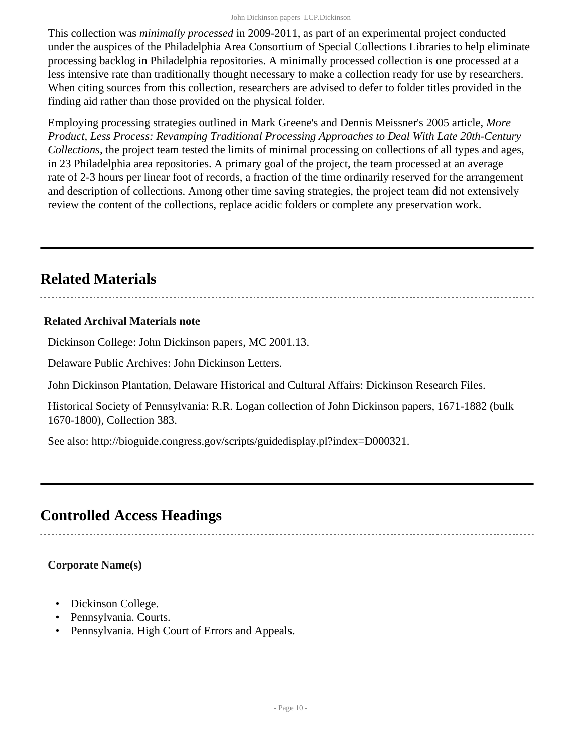This collection was *minimally processed* in 2009-2011, as part of an experimental project conducted under the auspices of the Philadelphia Area Consortium of Special Collections Libraries to help eliminate processing backlog in Philadelphia repositories. A minimally processed collection is one processed at a less intensive rate than traditionally thought necessary to make a collection ready for use by researchers. When citing sources from this collection, researchers are advised to defer to folder titles provided in the finding aid rather than those provided on the physical folder.

Employing processing strategies outlined in Mark Greene's and Dennis Meissner's 2005 article, *More Product, Less Process: Revamping Traditional Processing Approaches to Deal With Late 20th-Century Collections*, the project team tested the limits of minimal processing on collections of all types and ages, in 23 Philadelphia area repositories. A primary goal of the project, the team processed at an average rate of 2-3 hours per linear foot of records, a fraction of the time ordinarily reserved for the arrangement and description of collections. Among other time saving strategies, the project team did not extensively review the content of the collections, replace acidic folders or complete any preservation work.

## <span id="page-9-0"></span>**Related Materials**

#### **Related Archival Materials note**

Dickinson College: John Dickinson papers, MC 2001.13.

Delaware Public Archives: John Dickinson Letters.

John Dickinson Plantation, Delaware Historical and Cultural Affairs: Dickinson Research Files.

Historical Society of Pennsylvania: R.R. Logan collection of John Dickinson papers, 1671-1882 (bulk 1670-1800), Collection 383.

See also: http://bioguide.congress.gov/scripts/guidedisplay.pl?index=D000321.

### <span id="page-9-1"></span>**Controlled Access Headings**

#### **Corporate Name(s)**

- Dickinson College.
- Pennsylvania. Courts.
- Pennsylvania. High Court of Errors and Appeals.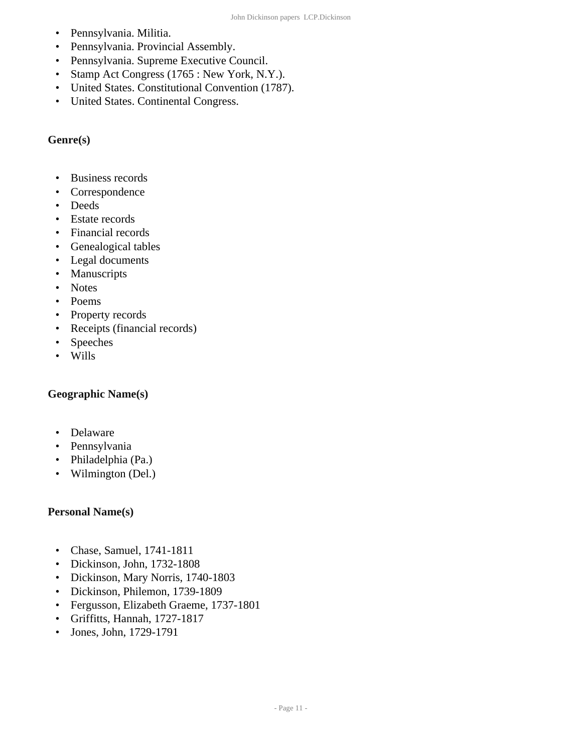- Pennsylvania. Militia.
- Pennsylvania. Provincial Assembly.
- Pennsylvania. Supreme Executive Council.
- Stamp Act Congress (1765 : New York, N.Y.).
- United States. Constitutional Convention (1787).
- United States. Continental Congress.

#### **Genre(s)**

- Business records
- Correspondence
- Deeds
- Estate records
- Financial records
- Genealogical tables
- Legal documents
- Manuscripts
- Notes
- Poems
- Property records
- Receipts (financial records)
- Speeches
- Wills

#### **Geographic Name(s)**

- Delaware
- Pennsylvania
- Philadelphia (Pa.)
- Wilmington (Del.)

#### **Personal Name(s)**

- Chase, Samuel, 1741-1811
- Dickinson, John, 1732-1808
- Dickinson, Mary Norris, 1740-1803
- Dickinson, Philemon, 1739-1809
- Fergusson, Elizabeth Graeme, 1737-1801
- Griffitts, Hannah, 1727-1817
- Jones, John, 1729-1791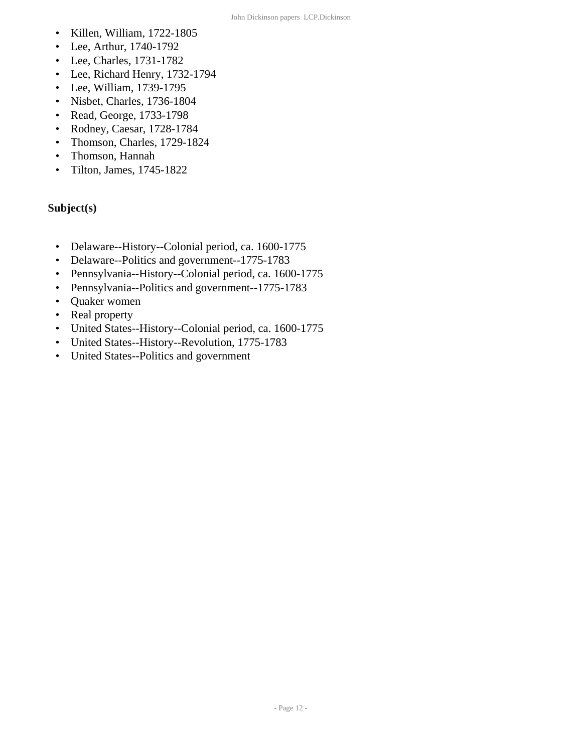- Killen, William, 1722-1805
- Lee, Arthur, 1740-1792
- Lee, Charles, 1731-1782
- Lee, Richard Henry, 1732-1794
- Lee, William, 1739-1795
- Nisbet, Charles, 1736-1804
- Read, George, 1733-1798
- Rodney, Caesar, 1728-1784
- Thomson, Charles, 1729-1824
- Thomson, Hannah
- Tilton, James, 1745-1822

#### **Subject(s)**

- Delaware--History--Colonial period, ca. 1600-1775
- Delaware--Politics and government--1775-1783
- Pennsylvania--History--Colonial period, ca. 1600-1775
- Pennsylvania--Politics and government--1775-1783
- Quaker women
- Real property
- United States--History--Colonial period, ca. 1600-1775
- United States--History--Revolution, 1775-1783
- United States--Politics and government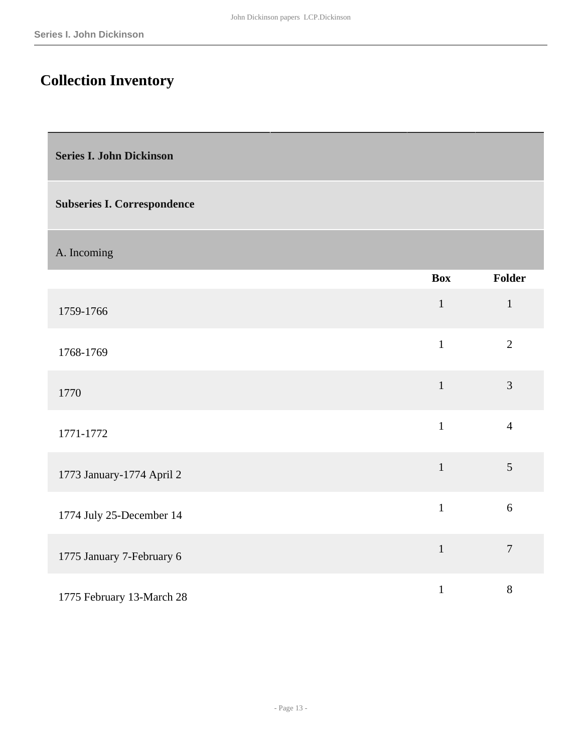## <span id="page-12-0"></span>**Collection Inventory**

<span id="page-12-1"></span>**Series I. John Dickinson** 

#### **Subseries I. Correspondence**

A. Incoming

|                           | <b>Box</b>   | Folder         |
|---------------------------|--------------|----------------|
| 1759-1766                 | $\mathbf{1}$ | $\mathbf{1}$   |
| 1768-1769                 | $\mathbf{1}$ | $\overline{2}$ |
| 1770                      | $\mathbf{1}$ | 3              |
| 1771-1772                 | $\mathbf{1}$ | $\overline{4}$ |
| 1773 January-1774 April 2 | $\mathbf{1}$ | 5              |
| 1774 July 25-December 14  | $\mathbf{1}$ | 6              |
| 1775 January 7-February 6 | $\mathbf{1}$ | $\overline{7}$ |
| 1775 February 13-March 28 | $\mathbf{1}$ | $8\,$          |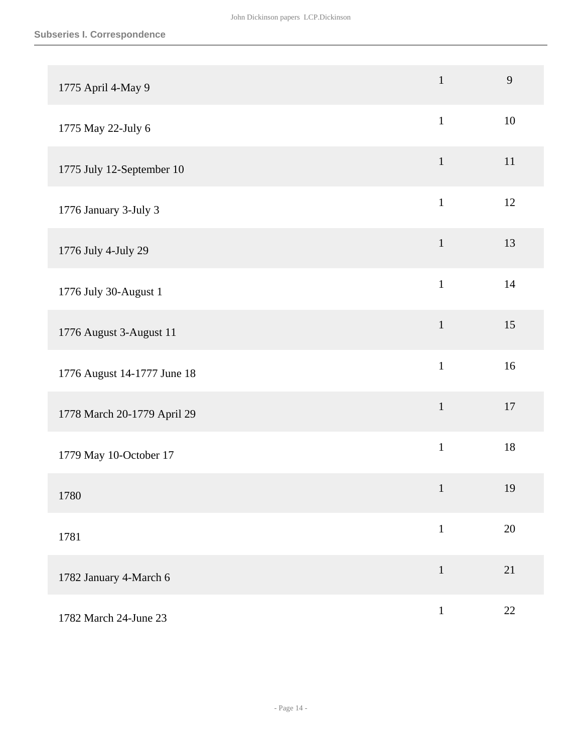| 1775 April 4-May 9          | $\mathbf{1}$ | 9  |
|-----------------------------|--------------|----|
| 1775 May 22-July 6          | $\mathbf{1}$ | 10 |
| 1775 July 12-September 10   | $\mathbf{1}$ | 11 |
| 1776 January 3-July 3       | $\mathbf{1}$ | 12 |
| 1776 July 4-July 29         | $\mathbf{1}$ | 13 |
| 1776 July 30-August 1       | $\mathbf{1}$ | 14 |
| 1776 August 3-August 11     | $\mathbf{1}$ | 15 |
| 1776 August 14-1777 June 18 | $\mathbf{1}$ | 16 |
| 1778 March 20-1779 April 29 | $\mathbf{1}$ | 17 |
| 1779 May 10-October 17      | $\mathbf{1}$ | 18 |
| 1780                        | $\mathbf{1}$ | 19 |
| 1781                        | $\mathbf{1}$ | 20 |
| 1782 January 4-March 6      | $\mathbf{1}$ | 21 |
| 1782 March 24-June 23       | $\mathbf{1}$ | 22 |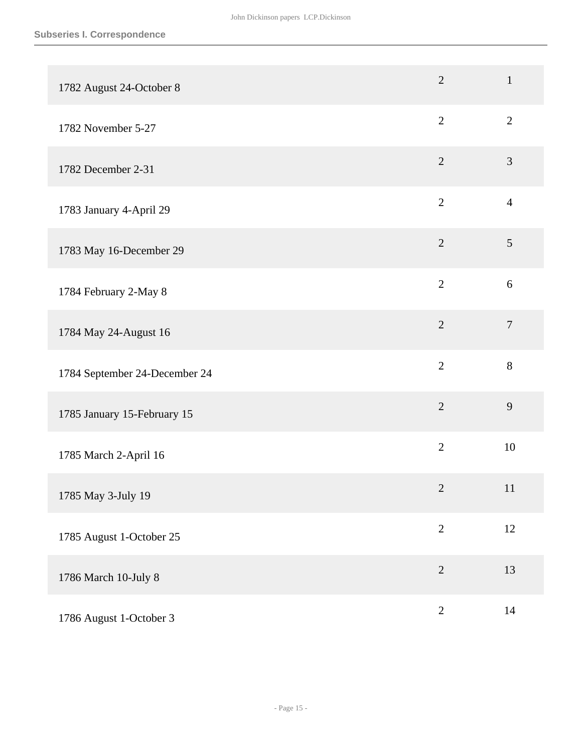| 1782 August 24-October 8      | $\overline{2}$ | $\mathbf{1}$   |
|-------------------------------|----------------|----------------|
| 1782 November 5-27            | $\overline{2}$ | $\mathbf{2}$   |
| 1782 December 2-31            | $\overline{2}$ | $\mathfrak{Z}$ |
| 1783 January 4-April 29       | $\overline{2}$ | $\overline{4}$ |
| 1783 May 16-December 29       | $\overline{2}$ | $\mathfrak{S}$ |
| 1784 February 2-May 8         | $\overline{2}$ | 6              |
| 1784 May 24-August 16         | $\overline{2}$ | $\overline{7}$ |
| 1784 September 24-December 24 | $\overline{2}$ | $8\,$          |
| 1785 January 15-February 15   | $\overline{2}$ | 9              |
| 1785 March 2-April 16         | $\overline{2}$ | 10             |
| 1785 May 3-July 19            | $\overline{2}$ | 11             |
| 1785 August 1-October 25      | $\overline{2}$ | 12             |
| 1786 March 10-July 8          | $\overline{2}$ | 13             |
| 1786 August 1-October 3       | $\sqrt{2}$     | 14             |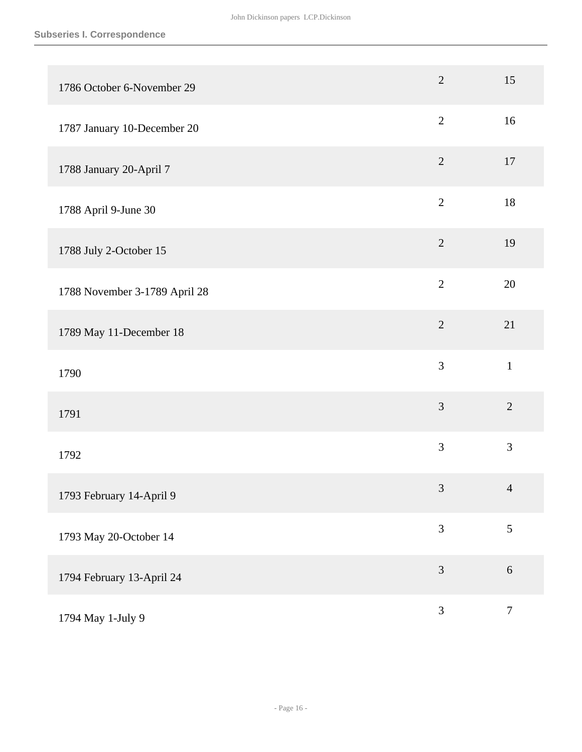| 1786 October 6-November 29    | $\overline{2}$ | 15               |
|-------------------------------|----------------|------------------|
| 1787 January 10-December 20   | $\mathbf{2}$   | 16               |
| 1788 January 20-April 7       | $\overline{2}$ | 17               |
| 1788 April 9-June 30          | $\mathbf{2}$   | $18\,$           |
| 1788 July 2-October 15        | $\sqrt{2}$     | 19               |
| 1788 November 3-1789 April 28 | $\overline{2}$ | 20               |
| 1789 May 11-December 18       | $\sqrt{2}$     | 21               |
| 1790                          | 3              | $\mathbf{1}$     |
| 1791                          | $\mathfrak{Z}$ | $\overline{2}$   |
| 1792                          | 3              | 3                |
| 1793 February 14-April 9      | $\mathfrak{Z}$ | $\overline{4}$   |
| 1793 May 20-October 14        | 3              | 5                |
| 1794 February 13-April 24     | $\mathfrak{Z}$ | $\sqrt{6}$       |
| 1794 May 1-July 9             | 3              | $\boldsymbol{7}$ |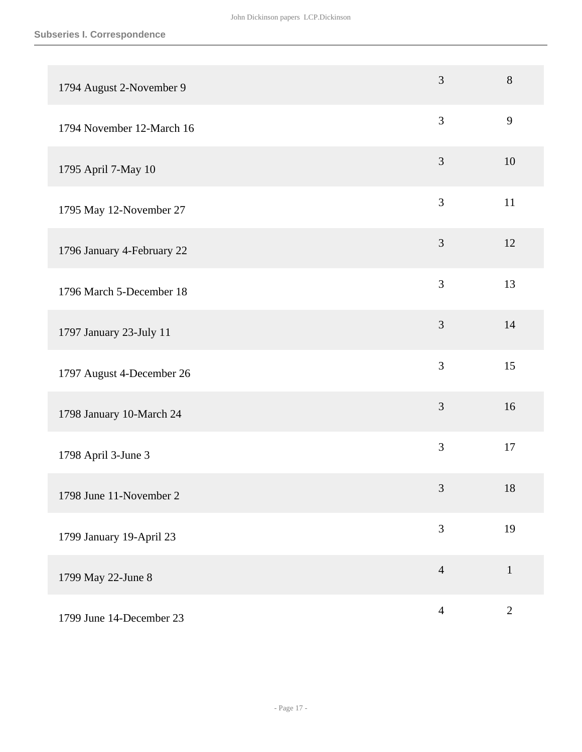| 1794 August 2-November 9   | 3              | $8\,$          |
|----------------------------|----------------|----------------|
| 1794 November 12-March 16  | 3              | 9              |
| 1795 April 7-May 10        | 3              | 10             |
| 1795 May 12-November 27    | 3              | 11             |
| 1796 January 4-February 22 | $\mathfrak{Z}$ | 12             |
| 1796 March 5-December 18   | 3              | 13             |
| 1797 January 23-July 11    | $\mathfrak{Z}$ | 14             |
| 1797 August 4-December 26  | 3              | 15             |
| 1798 January 10-March 24   | 3              | 16             |
| 1798 April 3-June 3        | 3              | 17             |
| 1798 June 11-November 2    | $\mathfrak{Z}$ | 18             |
| 1799 January 19-April 23   | 3              | 19             |
| 1799 May 22-June 8         | $\overline{4}$ | $\mathbf{1}$   |
| 1799 June 14-December 23   | $\overline{4}$ | $\overline{2}$ |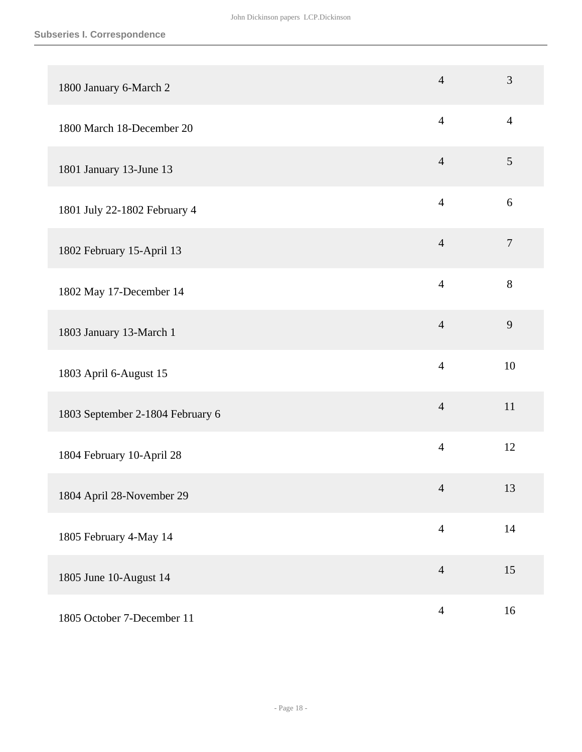| 1800 January 6-March 2           | $\overline{4}$ | 3                |
|----------------------------------|----------------|------------------|
| 1800 March 18-December 20        | $\overline{4}$ | $\overline{4}$   |
| 1801 January 13-June 13          | $\overline{4}$ | $\mathfrak{S}$   |
| 1801 July 22-1802 February 4     | $\overline{4}$ | 6                |
| 1802 February 15-April 13        | $\overline{4}$ | $\boldsymbol{7}$ |
| 1802 May 17-December 14          | $\overline{4}$ | 8                |
| 1803 January 13-March 1          | $\overline{4}$ | 9                |
| 1803 April 6-August 15           | $\overline{4}$ | 10               |
| 1803 September 2-1804 February 6 | $\overline{4}$ | 11               |
| 1804 February 10-April 28        | $\overline{4}$ | 12               |
| 1804 April 28-November 29        | $\overline{4}$ | 13               |
| 1805 February 4-May 14           | $\overline{4}$ | 14               |
| 1805 June 10-August 14           | $\overline{4}$ | 15               |
| 1805 October 7-December 11       | $\overline{4}$ | 16               |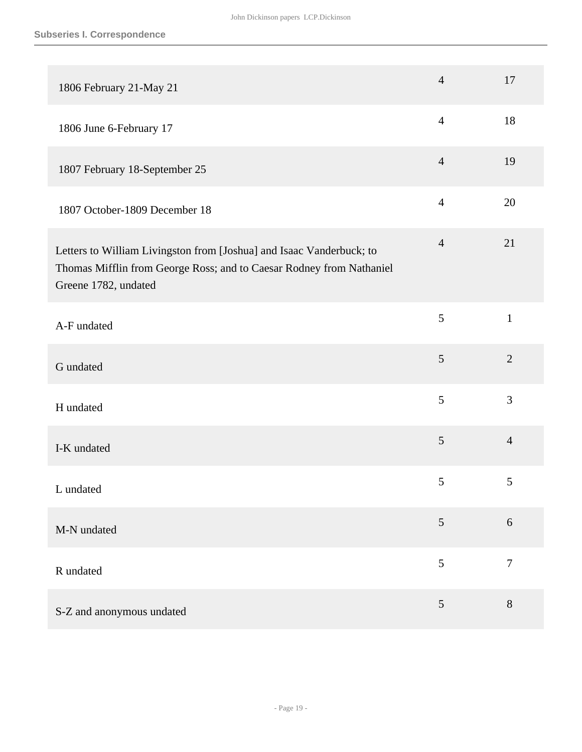| 1806 February 21-May 21                                                                                                                                              | $\overline{4}$  | 17             |
|----------------------------------------------------------------------------------------------------------------------------------------------------------------------|-----------------|----------------|
| 1806 June 6-February 17                                                                                                                                              | $\overline{4}$  | 18             |
| 1807 February 18-September 25                                                                                                                                        | $\overline{4}$  | 19             |
| 1807 October-1809 December 18                                                                                                                                        | $\overline{4}$  | 20             |
| Letters to William Livingston from [Joshua] and Isaac Vanderbuck; to<br>Thomas Mifflin from George Ross; and to Caesar Rodney from Nathaniel<br>Greene 1782, undated | $\overline{4}$  | 21             |
| A-F undated                                                                                                                                                          | 5               | $\mathbf{1}$   |
| G undated                                                                                                                                                            | $\mathfrak{S}$  | $\overline{2}$ |
| H undated                                                                                                                                                            | 5               | 3              |
| I-K undated                                                                                                                                                          | 5               | $\overline{4}$ |
| L undated                                                                                                                                                            | 5               | $\mathfrak{S}$ |
| M-N undated                                                                                                                                                          | $5\overline{)}$ | 6              |
| R undated                                                                                                                                                            | 5               | $\tau$         |
| S-Z and anonymous undated                                                                                                                                            | 5               | $8\,$          |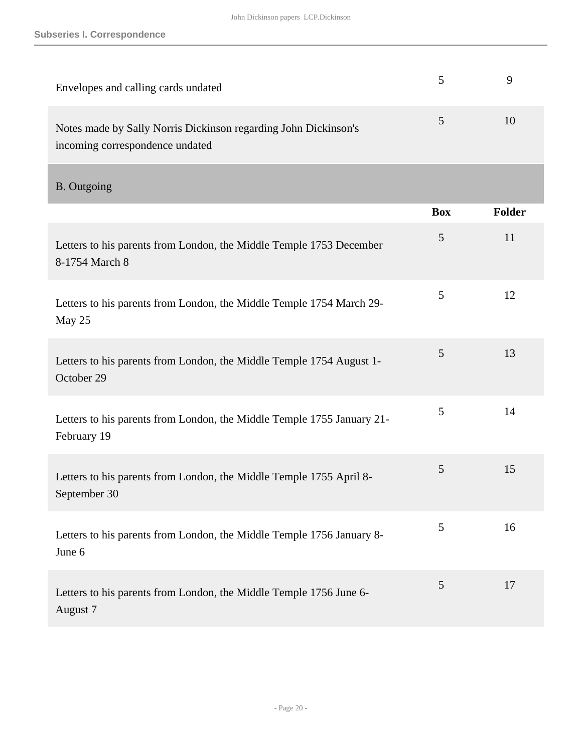| Envelopes and calling cards undated                                                                | 5          | 9             |
|----------------------------------------------------------------------------------------------------|------------|---------------|
| Notes made by Sally Norris Dickinson regarding John Dickinson's<br>incoming correspondence undated | 5          | 10            |
| <b>B.</b> Outgoing                                                                                 |            |               |
|                                                                                                    | <b>Box</b> | <b>Folder</b> |
| Letters to his parents from London, the Middle Temple 1753 December<br>8-1754 March 8              | 5          | 11            |
| Letters to his parents from London, the Middle Temple 1754 March 29-<br>May 25                     | 5          | 12            |
| Letters to his parents from London, the Middle Temple 1754 August 1-<br>October 29                 | 5          | 13            |
| Letters to his parents from London, the Middle Temple 1755 January 21-<br>February 19              | 5          | 14            |
| Letters to his parents from London, the Middle Temple 1755 April 8-<br>September 30                | 5          | 15            |
| Letters to his parents from London, the Middle Temple 1756 January 8-<br>June 6                    | 5          | 16            |
| Letters to his parents from London, the Middle Temple 1756 June 6-<br>August 7                     | 5          | 17            |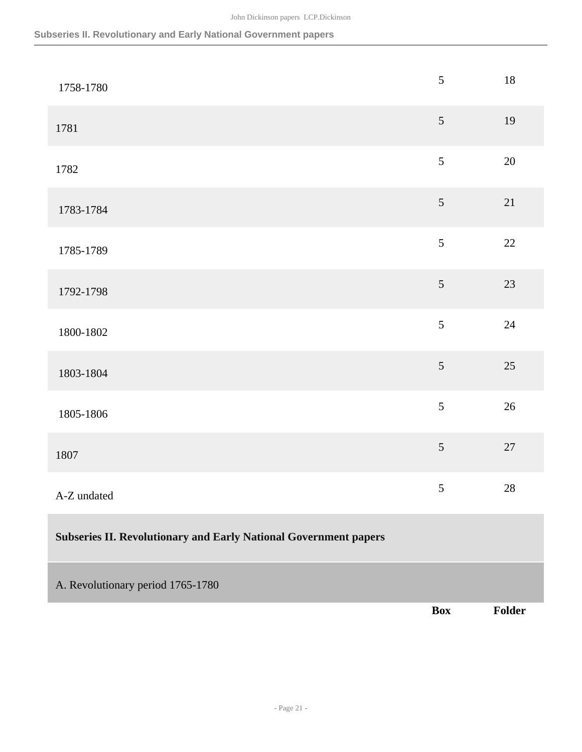| 1758-1780                                                               | $\sqrt{5}$ | $18\,$ |
|-------------------------------------------------------------------------|------------|--------|
| 1781                                                                    | $\sqrt{5}$ | 19     |
| 1782                                                                    | 5          | $20\,$ |
| 1783-1784                                                               | $\sqrt{5}$ | 21     |
| 1785-1789                                                               | 5          | $22\,$ |
| 1792-1798                                                               | $\sqrt{5}$ | 23     |
| 1800-1802                                                               | 5          | 24     |
| 1803-1804                                                               | 5          | $25\,$ |
| 1805-1806                                                               | 5          | $26\,$ |
| 1807                                                                    | $\sqrt{5}$ | $27\,$ |
| A-Z undated                                                             | 5          | $28\,$ |
| <b>Subseries II. Revolutionary and Early National Government papers</b> |            |        |
| A. Revolutionary period 1765-1780                                       |            |        |
|                                                                         | <b>Box</b> | Folder |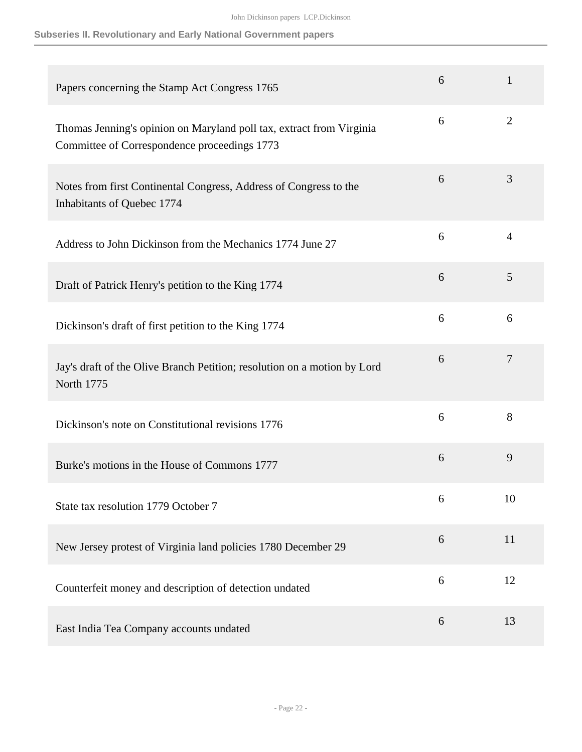| Papers concerning the Stamp Act Congress 1765                                                                        | 6 | 1              |
|----------------------------------------------------------------------------------------------------------------------|---|----------------|
| Thomas Jenning's opinion on Maryland poll tax, extract from Virginia<br>Committee of Correspondence proceedings 1773 | 6 | $\overline{2}$ |
| Notes from first Continental Congress, Address of Congress to the<br>Inhabitants of Quebec 1774                      | 6 | 3              |
| Address to John Dickinson from the Mechanics 1774 June 27                                                            | 6 | $\overline{4}$ |
| Draft of Patrick Henry's petition to the King 1774                                                                   | 6 | 5              |
| Dickinson's draft of first petition to the King 1774                                                                 | 6 | 6              |
| Jay's draft of the Olive Branch Petition; resolution on a motion by Lord<br>North 1775                               | 6 | $\overline{7}$ |
| Dickinson's note on Constitutional revisions 1776                                                                    | 6 | 8              |
| Burke's motions in the House of Commons 1777                                                                         | 6 | 9              |
| State tax resolution 1779 October 7                                                                                  | 6 | 10             |
| New Jersey protest of Virginia land policies 1780 December 29                                                        | 6 | 11             |
| Counterfeit money and description of detection undated                                                               | 6 | 12             |
| East India Tea Company accounts undated                                                                              | 6 | 13             |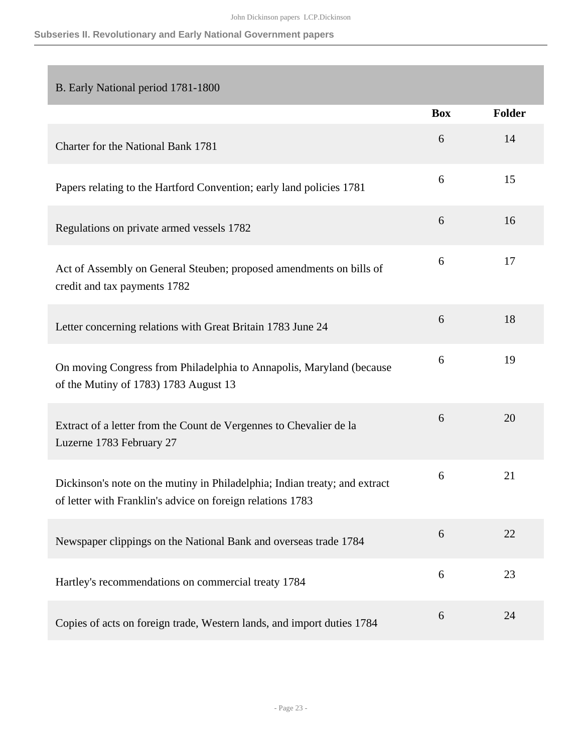| B. Early National period 1781-1800                                                                                                       |            |        |
|------------------------------------------------------------------------------------------------------------------------------------------|------------|--------|
|                                                                                                                                          | <b>Box</b> | Folder |
| Charter for the National Bank 1781                                                                                                       | 6          | 14     |
| Papers relating to the Hartford Convention; early land policies 1781                                                                     | 6          | 15     |
| Regulations on private armed vessels 1782                                                                                                | 6          | 16     |
| Act of Assembly on General Steuben; proposed amendments on bills of<br>credit and tax payments 1782                                      | 6          | 17     |
| Letter concerning relations with Great Britain 1783 June 24                                                                              | 6          | 18     |
| On moving Congress from Philadelphia to Annapolis, Maryland (because<br>of the Mutiny of 1783) 1783 August 13                            | 6          | 19     |
| Extract of a letter from the Count de Vergennes to Chevalier de la<br>Luzerne 1783 February 27                                           | 6          | 20     |
| Dickinson's note on the mutiny in Philadelphia; Indian treaty; and extract<br>of letter with Franklin's advice on foreign relations 1783 | 6          | 21     |
| Newspaper clippings on the National Bank and overseas trade 1784                                                                         | 6          | 22     |
| Hartley's recommendations on commercial treaty 1784                                                                                      | 6          | 23     |
| Copies of acts on foreign trade, Western lands, and import duties 1784                                                                   | 6          | 24     |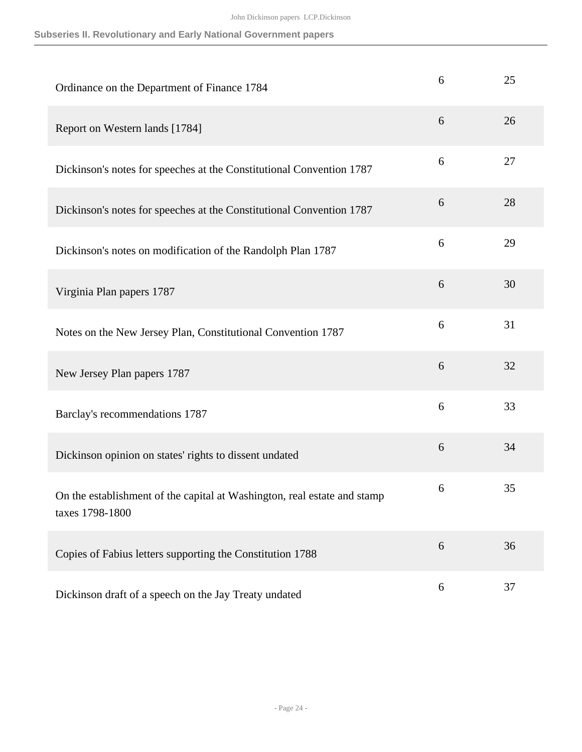| Ordinance on the Department of Finance 1784                                                 | 6 | 25 |
|---------------------------------------------------------------------------------------------|---|----|
| Report on Western lands [1784]                                                              | 6 | 26 |
| Dickinson's notes for speeches at the Constitutional Convention 1787                        | 6 | 27 |
| Dickinson's notes for speeches at the Constitutional Convention 1787                        | 6 | 28 |
| Dickinson's notes on modification of the Randolph Plan 1787                                 | 6 | 29 |
| Virginia Plan papers 1787                                                                   | 6 | 30 |
| Notes on the New Jersey Plan, Constitutional Convention 1787                                | 6 | 31 |
| New Jersey Plan papers 1787                                                                 | 6 | 32 |
| Barclay's recommendations 1787                                                              | 6 | 33 |
| Dickinson opinion on states' rights to dissent undated                                      | 6 | 34 |
| On the establishment of the capital at Washington, real estate and stamp<br>taxes 1798-1800 | 6 | 35 |
| Copies of Fabius letters supporting the Constitution 1788                                   | 6 | 36 |
| Dickinson draft of a speech on the Jay Treaty undated                                       | 6 | 37 |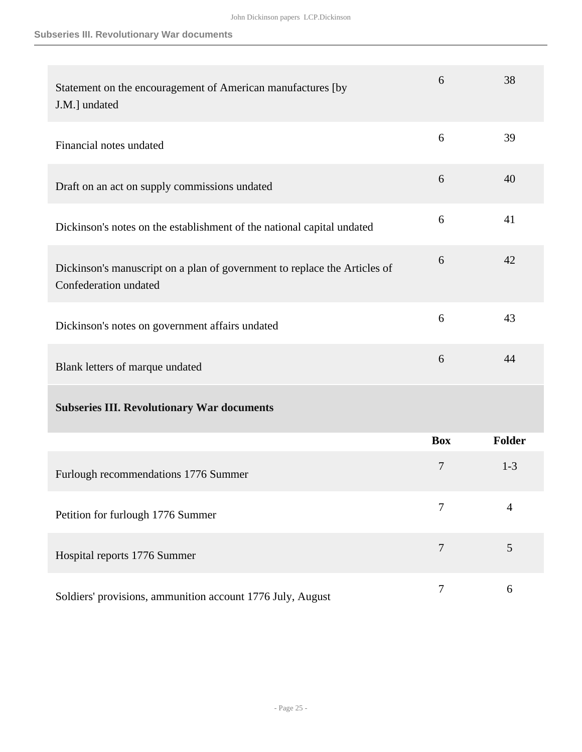| Statement on the encouragement of American manufactures [by<br>J.M.] undated                       | 6              | 38             |
|----------------------------------------------------------------------------------------------------|----------------|----------------|
| Financial notes undated                                                                            | 6              | 39             |
| Draft on an act on supply commissions undated                                                      | 6              | 40             |
| Dickinson's notes on the establishment of the national capital undated                             | 6              | 41             |
| Dickinson's manuscript on a plan of government to replace the Articles of<br>Confederation undated | 6              | 42             |
| Dickinson's notes on government affairs undated                                                    | 6              | 43             |
| Blank letters of marque undated                                                                    | 6              | 44             |
| <b>Subseries III. Revolutionary War documents</b>                                                  |                |                |
|                                                                                                    | <b>Box</b>     | <b>Folder</b>  |
| Furlough recommendations 1776 Summer                                                               | 7              | $1 - 3$        |
| Petition for furlough 1776 Summer                                                                  | 7              | $\overline{4}$ |
| Hospital reports 1776 Summer                                                                       | $\overline{7}$ | 5              |
| Soldiers' provisions, ammunition account 1776 July, August                                         | $\tau$         | 6              |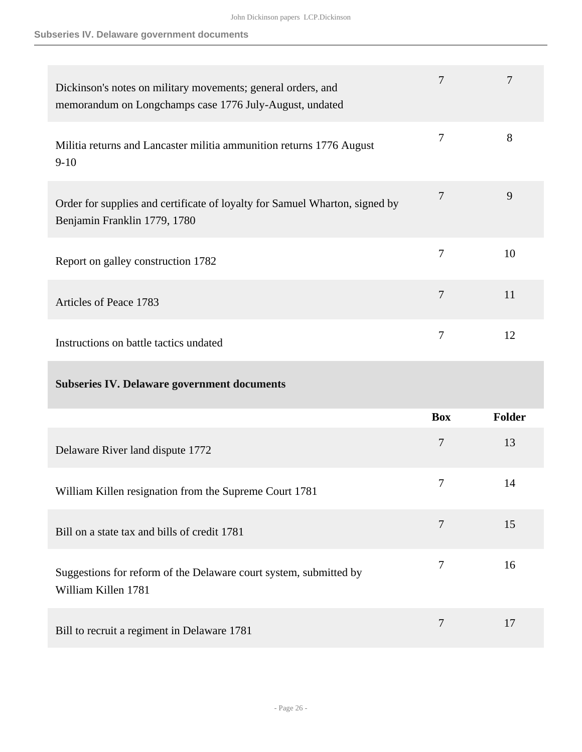### **Subseries IV. Delaware government documents**

| Dickinson's notes on military movements; general orders, and<br>memorandum on Longchamps case 1776 July-August, undated | $\tau$         | 7             |
|-------------------------------------------------------------------------------------------------------------------------|----------------|---------------|
| Militia returns and Lancaster militia ammunition returns 1776 August<br>$9-10$                                          | $\overline{7}$ | 8             |
| Order for supplies and certificate of loyalty for Samuel Wharton, signed by<br>Benjamin Franklin 1779, 1780             | $\overline{7}$ | 9             |
| Report on galley construction 1782                                                                                      | $\overline{7}$ | 10            |
| Articles of Peace 1783                                                                                                  | $\overline{7}$ | 11            |
| Instructions on battle tactics undated                                                                                  | $\overline{7}$ | 12            |
| <b>Subseries IV. Delaware government documents</b>                                                                      |                |               |
|                                                                                                                         | <b>Box</b>     | <b>Folder</b> |
| Delaware River land dispute 1772                                                                                        | $\overline{7}$ | 13            |
| William Killen resignation from the Supreme Court 1781                                                                  | $\tau$         | 14            |
| Bill on a state tax and bills of credit 1781                                                                            | $\tau$         | 15            |
| Suggestions for reform of the Delaware court system, submitted by<br>William Killen 1781                                | $\tau$         | 16            |
|                                                                                                                         |                |               |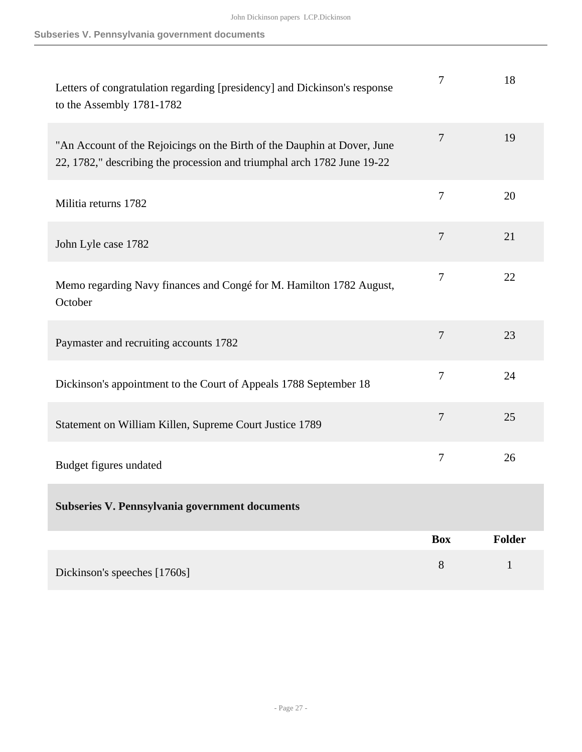| Letters of congratulation regarding [presidency] and Dickinson's response<br>to the Assembly 1781-1782                                              | 7              | 18            |
|-----------------------------------------------------------------------------------------------------------------------------------------------------|----------------|---------------|
| "An Account of the Rejoicings on the Birth of the Dauphin at Dover, June<br>22, 1782," describing the procession and triumphal arch 1782 June 19-22 | $\overline{7}$ | 19            |
| Militia returns 1782                                                                                                                                | $\tau$         | 20            |
| John Lyle case 1782                                                                                                                                 | $\overline{7}$ | 21            |
| Memo regarding Navy finances and Congé for M. Hamilton 1782 August,<br>October                                                                      | 7              | 22            |
| Paymaster and recruiting accounts 1782                                                                                                              | $\overline{7}$ | 23            |
| Dickinson's appointment to the Court of Appeals 1788 September 18                                                                                   | $\overline{7}$ | 24            |
| Statement on William Killen, Supreme Court Justice 1789                                                                                             | $\overline{7}$ | 25            |
| Budget figures undated                                                                                                                              | $\tau$         | 26            |
| Subseries V. Pennsylvania government documents                                                                                                      |                |               |
|                                                                                                                                                     | <b>Box</b>     | <b>Folder</b> |
| Dickinson's speeches [1760s]                                                                                                                        | 8              | $\mathbf{1}$  |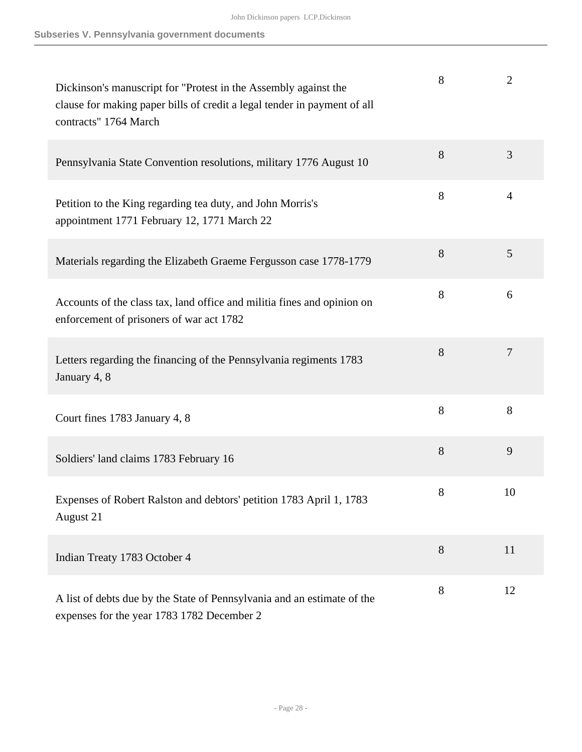| Dickinson's manuscript for "Protest in the Assembly against the<br>clause for making paper bills of credit a legal tender in payment of all<br>contracts" 1764 March | 8 | $\overline{2}$ |
|----------------------------------------------------------------------------------------------------------------------------------------------------------------------|---|----------------|
| Pennsylvania State Convention resolutions, military 1776 August 10                                                                                                   | 8 | 3              |
| Petition to the King regarding tea duty, and John Morris's<br>appointment 1771 February 12, 1771 March 22                                                            | 8 | $\overline{4}$ |
| Materials regarding the Elizabeth Graeme Fergusson case 1778-1779                                                                                                    | 8 | 5              |
| Accounts of the class tax, land office and militia fines and opinion on<br>enforcement of prisoners of war act 1782                                                  | 8 | 6              |
| Letters regarding the financing of the Pennsylvania regiments 1783<br>January 4, 8                                                                                   | 8 | 7              |
| Court fines 1783 January 4, 8                                                                                                                                        | 8 | 8              |
| Soldiers' land claims 1783 February 16                                                                                                                               | 8 | 9              |
| Expenses of Robert Ralston and debtors' petition 1783 April 1, 1783<br>August 21                                                                                     | 8 | 10             |
| Indian Treaty 1783 October 4                                                                                                                                         | 8 | 11             |
| A list of debts due by the State of Pennsylvania and an estimate of the<br>expenses for the year 1783 1782 December 2                                                | 8 | 12             |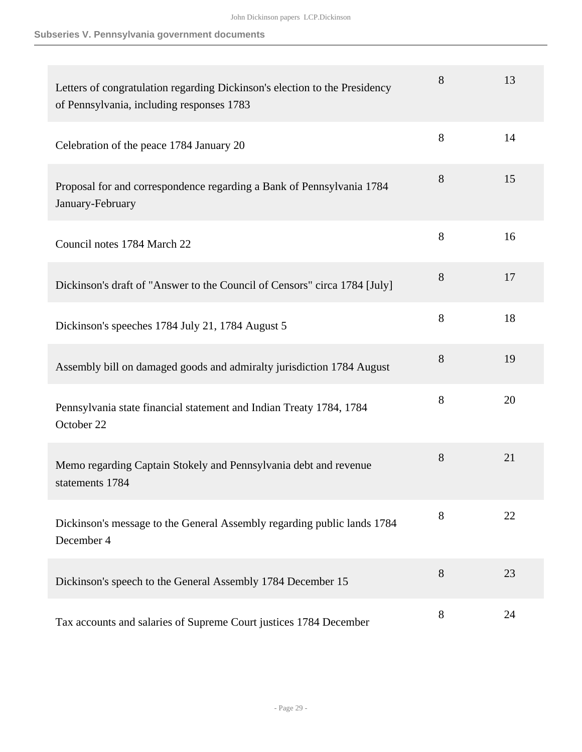#### **Subseries V. Pennsylvania government documents**

| Letters of congratulation regarding Dickinson's election to the Presidency<br>of Pennsylvania, including responses 1783 | 8 | 13 |
|-------------------------------------------------------------------------------------------------------------------------|---|----|
| Celebration of the peace 1784 January 20                                                                                | 8 | 14 |
| Proposal for and correspondence regarding a Bank of Pennsylvania 1784<br>January-February                               | 8 | 15 |
| Council notes 1784 March 22                                                                                             | 8 | 16 |
| Dickinson's draft of "Answer to the Council of Censors" circa 1784 [July]                                               | 8 | 17 |
| Dickinson's speeches 1784 July 21, 1784 August 5                                                                        | 8 | 18 |
| Assembly bill on damaged goods and admiralty jurisdiction 1784 August                                                   | 8 | 19 |
| Pennsylvania state financial statement and Indian Treaty 1784, 1784<br>October 22                                       | 8 | 20 |
| Memo regarding Captain Stokely and Pennsylvania debt and revenue<br>statements 1784                                     | 8 | 21 |
| Dickinson's message to the General Assembly regarding public lands 1784<br>December 4                                   | 8 | 22 |
| Dickinson's speech to the General Assembly 1784 December 15                                                             | 8 | 23 |
| Tax accounts and salaries of Supreme Court justices 1784 December                                                       | 8 | 24 |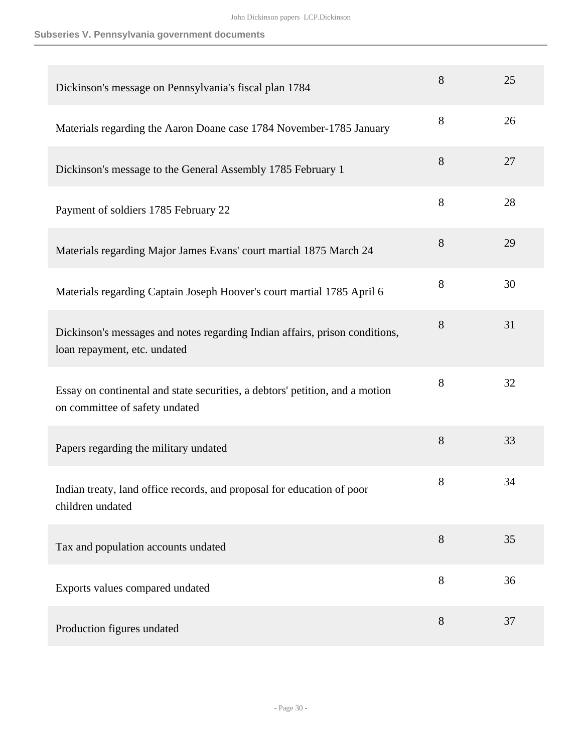#### **Subseries V. Pennsylvania government documents**

| Dickinson's message on Pennsylvania's fiscal plan 1784                                                         | 8     | 25 |
|----------------------------------------------------------------------------------------------------------------|-------|----|
| Materials regarding the Aaron Doane case 1784 November-1785 January                                            | 8     | 26 |
| Dickinson's message to the General Assembly 1785 February 1                                                    | 8     | 27 |
| Payment of soldiers 1785 February 22                                                                           | 8     | 28 |
| Materials regarding Major James Evans' court martial 1875 March 24                                             | 8     | 29 |
| Materials regarding Captain Joseph Hoover's court martial 1785 April 6                                         | 8     | 30 |
| Dickinson's messages and notes regarding Indian affairs, prison conditions,<br>loan repayment, etc. undated    | 8     | 31 |
| Essay on continental and state securities, a debtors' petition, and a motion<br>on committee of safety undated | 8     | 32 |
| Papers regarding the military undated                                                                          | 8     | 33 |
| Indian treaty, land office records, and proposal for education of poor<br>children undated                     | $8\,$ | 34 |
| Tax and population accounts undated                                                                            | 8     | 35 |
| Exports values compared undated                                                                                | 8     | 36 |
| Production figures undated                                                                                     | $8\,$ | 37 |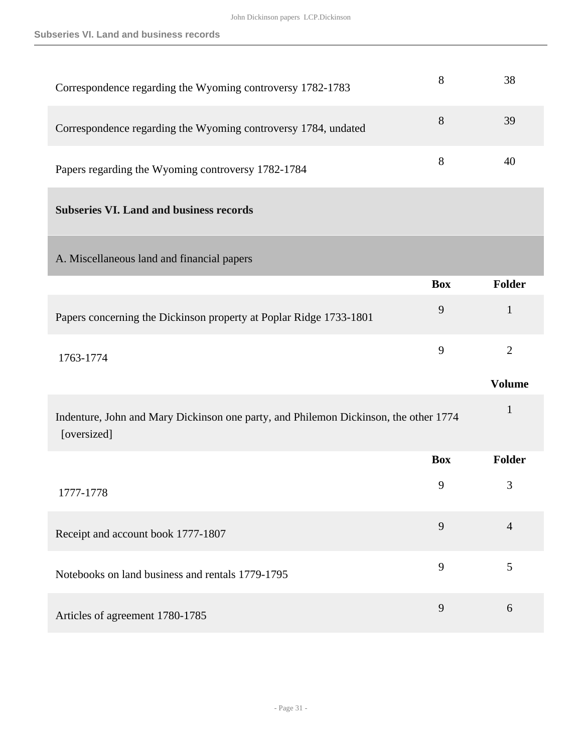| Correspondence regarding the Wyoming controversy 1782-1783                                          | 8          | 38             |
|-----------------------------------------------------------------------------------------------------|------------|----------------|
| Correspondence regarding the Wyoming controversy 1784, undated                                      | 8          | 39             |
| Papers regarding the Wyoming controversy 1782-1784                                                  | 8          | 40             |
| <b>Subseries VI. Land and business records</b>                                                      |            |                |
| A. Miscellaneous land and financial papers                                                          |            |                |
|                                                                                                     | <b>Box</b> | <b>Folder</b>  |
| Papers concerning the Dickinson property at Poplar Ridge 1733-1801                                  | 9          | $\mathbf{1}$   |
|                                                                                                     |            |                |
| 1763-1774                                                                                           | 9          | $\overline{2}$ |
|                                                                                                     |            | <b>Volume</b>  |
| Indenture, John and Mary Dickinson one party, and Philemon Dickinson, the other 1774<br>[oversized] |            | $\mathbf 1$    |
|                                                                                                     | <b>Box</b> | <b>Folder</b>  |
| 1777-1778                                                                                           | 9          | 3              |
| Receipt and account book 1777-1807                                                                  | 9          | $\overline{4}$ |
| Notebooks on land business and rentals 1779-1795                                                    | 9          | 5              |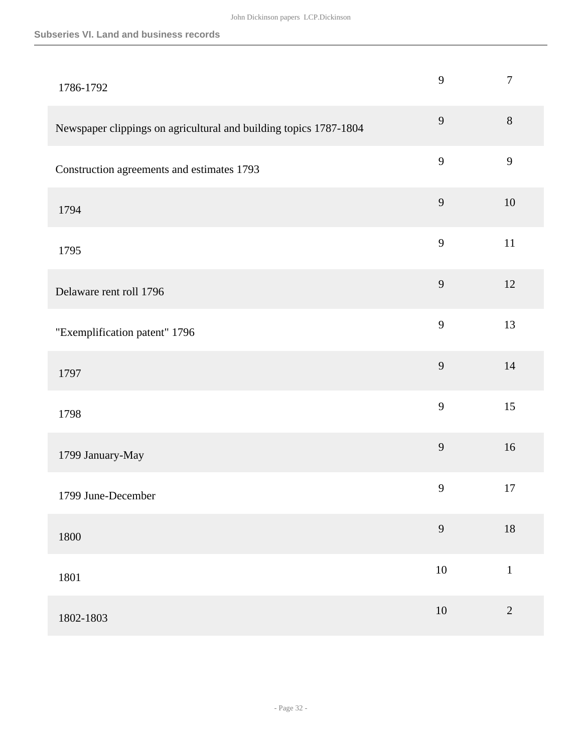#### **Subseries VI. Land and business records**

| 1786-1792                                                         | 9      | $\tau$     |
|-------------------------------------------------------------------|--------|------------|
| Newspaper clippings on agricultural and building topics 1787-1804 | 9      | $8\,$      |
| Construction agreements and estimates 1793                        | 9      | 9          |
| 1794                                                              | 9      | 10         |
| 1795                                                              | 9      | $11\,$     |
| Delaware rent roll 1796                                           | 9      | $12\,$     |
| "Exemplification patent" 1796                                     | 9      | 13         |
| 1797                                                              | 9      | 14         |
| 1798                                                              | 9      | 15         |
| 1799 January-May                                                  | 9      | 16         |
| 1799 June-December                                                | 9      | 17         |
| 1800                                                              | 9      | $18\,$     |
| 1801                                                              | $10\,$ | $\,1$      |
| 1802-1803                                                         | $10\,$ | $\sqrt{2}$ |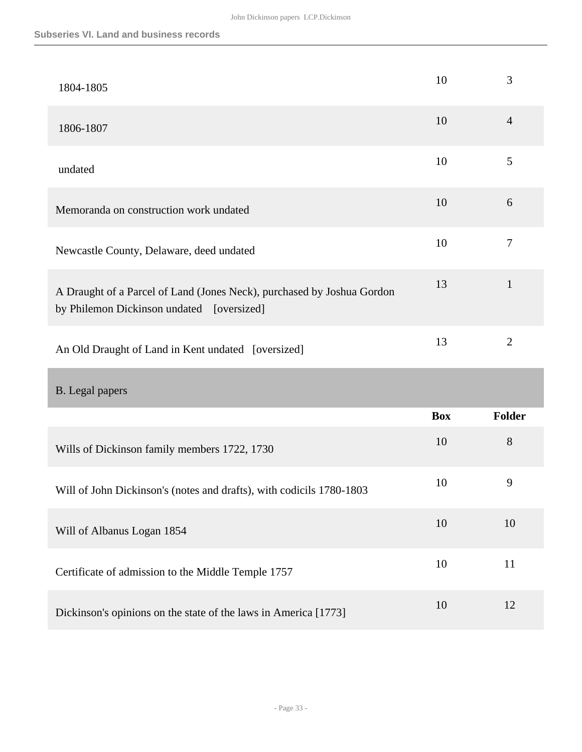| 1804-1805                                                                                                           | 10         | 3                |
|---------------------------------------------------------------------------------------------------------------------|------------|------------------|
| 1806-1807                                                                                                           | 10         | $\overline{4}$   |
| undated                                                                                                             | 10         | 5                |
| Memoranda on construction work undated                                                                              | 10         | 6                |
| Newcastle County, Delaware, deed undated                                                                            | 10         | $\boldsymbol{7}$ |
| A Draught of a Parcel of Land (Jones Neck), purchased by Joshua Gordon<br>by Philemon Dickinson undated [oversized] | 13         | $\mathbf{1}$     |
| An Old Draught of Land in Kent undated [oversized]                                                                  | 13         | $\mathbf{2}$     |
| <b>B.</b> Legal papers                                                                                              |            |                  |
|                                                                                                                     | <b>Box</b> | <b>Folder</b>    |
| Wills of Dickinson family members 1722, 1730                                                                        | 10         | 8                |
| Will of John Dickinson's (notes and drafts), with codicils 1780-1803                                                | 10         | 9                |
| Will of Albanus Logan 1854                                                                                          | 10         | 10               |
| Certificate of admission to the Middle Temple 1757                                                                  | 10         | 11               |
|                                                                                                                     |            |                  |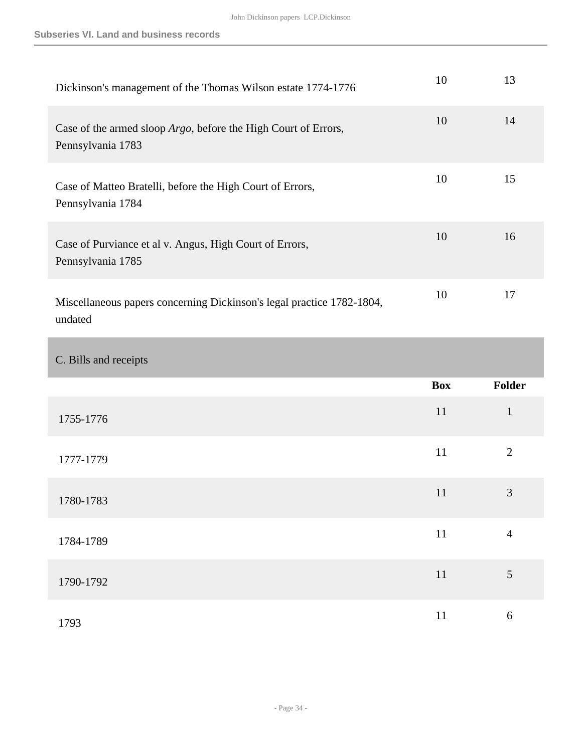| Dickinson's management of the Thomas Wilson estate 1774-1776                                | 10 | 13 |
|---------------------------------------------------------------------------------------------|----|----|
| Case of the armed sloop <i>Argo</i> , before the High Court of Errors,<br>Pennsylvania 1783 | 10 | 14 |
| Case of Matteo Bratelli, before the High Court of Errors,<br>Pennsylvania 1784              | 10 | 15 |
| Case of Purviance et al v. Angus, High Court of Errors,<br>Pennsylvania 1785                | 10 | 16 |
| Miscellaneous papers concerning Dickinson's legal practice 1782-1804,<br>undated            | 10 | 17 |

### C. Bills and receipts

|           | <b>Box</b> | Folder         |
|-----------|------------|----------------|
| 1755-1776 | 11         | $\mathbf{1}$   |
| 1777-1779 | 11         | $\overline{2}$ |
| 1780-1783 | 11         | $\mathfrak{Z}$ |
| 1784-1789 | 11         | $\overline{4}$ |
| 1790-1792 | 11         | 5              |
| 1793      | 11         | 6              |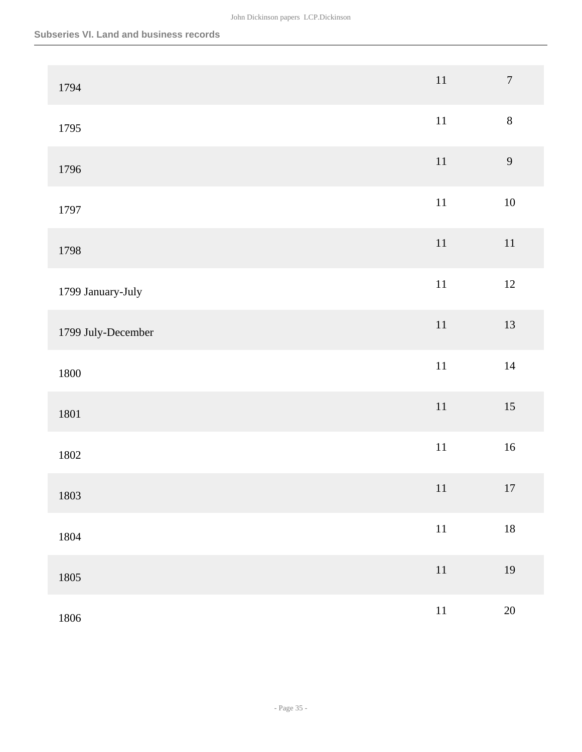| 1794               | $11\,$ | $\boldsymbol{7}$ |
|--------------------|--------|------------------|
| 1795               | $11\,$ | $8\,$            |
| 1796               | $11\,$ | 9                |
| 1797               | $11\,$ | $10\,$           |
| 1798               | $11\,$ | $11\,$           |
| 1799 January-July  | $11\,$ | $12\,$           |
| 1799 July-December | $11\,$ | 13               |
| 1800               | $11\,$ | $14\,$           |
| 1801               | $11\,$ | $15\,$           |
| 1802               | $11\,$ | $16\,$           |
| 1803               | 11     | $17\,$           |
| 1804               | $11\,$ | $18\,$           |
| 1805               | $11\,$ | 19               |
| 1806               | $11\,$ | $20\,$           |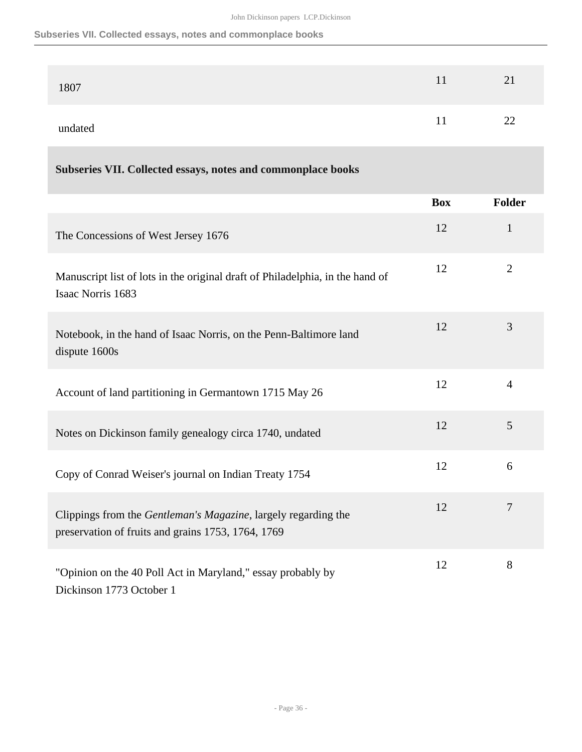#### **Subseries VII. Collected essays, notes and commonplace books**

| 1807    |          | 21 |
|---------|----------|----|
| undated | .<br>. . | 22 |

### **Subseries VII. Collected essays, notes and commonplace books**

|                                                                                                                      | <b>Box</b> | <b>Folder</b>  |
|----------------------------------------------------------------------------------------------------------------------|------------|----------------|
| The Concessions of West Jersey 1676                                                                                  | 12         | $\mathbf{1}$   |
| Manuscript list of lots in the original draft of Philadelphia, in the hand of<br>Isaac Norris 1683                   | 12         | $\overline{2}$ |
| Notebook, in the hand of Isaac Norris, on the Penn-Baltimore land<br>dispute 1600s                                   | 12         | 3              |
| Account of land partitioning in Germantown 1715 May 26                                                               | 12         | $\overline{4}$ |
| Notes on Dickinson family genealogy circa 1740, undated                                                              | 12         | 5              |
| Copy of Conrad Weiser's journal on Indian Treaty 1754                                                                | 12         | 6              |
| Clippings from the Gentleman's Magazine, largely regarding the<br>preservation of fruits and grains 1753, 1764, 1769 | 12         | $\overline{7}$ |
| "Opinion on the 40 Poll Act in Maryland," essay probably by<br>Dickinson 1773 October 1                              | 12         | 8              |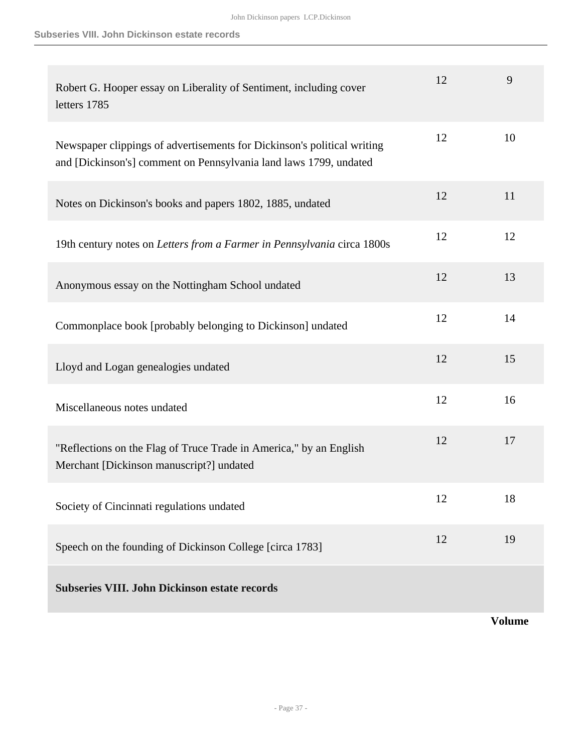| Robert G. Hooper essay on Liberality of Sentiment, including cover<br>letters 1785                                                           | 12 | 9  |
|----------------------------------------------------------------------------------------------------------------------------------------------|----|----|
| Newspaper clippings of advertisements for Dickinson's political writing<br>and [Dickinson's] comment on Pennsylvania land laws 1799, undated | 12 | 10 |
| Notes on Dickinson's books and papers 1802, 1885, undated                                                                                    | 12 | 11 |
| 19th century notes on Letters from a Farmer in Pennsylvania circa 1800s                                                                      | 12 | 12 |
| Anonymous essay on the Nottingham School undated                                                                                             | 12 | 13 |
| Commonplace book [probably belonging to Dickinson] undated                                                                                   | 12 | 14 |
| Lloyd and Logan genealogies undated                                                                                                          | 12 | 15 |
| Miscellaneous notes undated                                                                                                                  | 12 | 16 |
| "Reflections on the Flag of Truce Trade in America," by an English<br>Merchant [Dickinson manuscript?] undated                               | 12 | 17 |
| Society of Cincinnati regulations undated                                                                                                    | 12 | 18 |
| Speech on the founding of Dickinson College [circa 1783]                                                                                     | 12 | 19 |
| <b>Subseries VIII. John Dickinson estate records</b>                                                                                         |    |    |

**Volume**